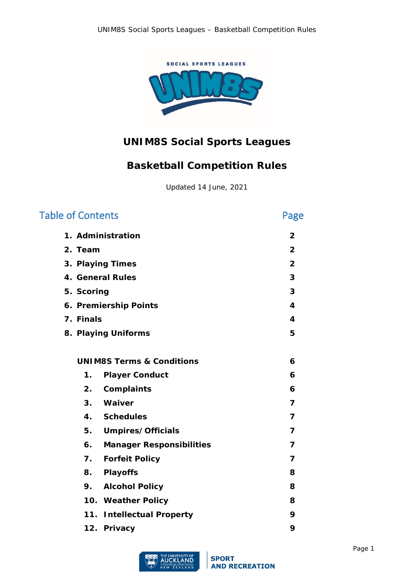

# **UNIM8S Social Sports Leagues**

# **Basketball Competition Rules**

Updated 14 June, 2021

| <b>Table of Contents</b>               | Page                    |
|----------------------------------------|-------------------------|
| 1. Administration                      | $\overline{2}$          |
| 2. Team                                | $\overline{2}$          |
| 3. Playing Times                       | $\overline{2}$          |
| 4. General Rules                       | 3                       |
| 5. Scoring                             | 3                       |
| 6. Premiership Points                  | $\overline{\mathbf{4}}$ |
| 7. Finals                              | 4                       |
| 8. Playing Uniforms                    | 5                       |
|                                        |                         |
| <b>UNIM8S Terms &amp; Conditions</b>   | 6                       |
| $\mathbf 1$ .<br><b>Player Conduct</b> | 6                       |
| 2.<br>Complaints                       | 6                       |
| 3.<br>Waiver                           | $\overline{7}$          |
| 4. Schedules                           | $\overline{7}$          |
| <b>Umpires/Officials</b><br>5.         | $\overline{7}$          |
| 6.<br><b>Manager Responsibilities</b>  | $\overline{7}$          |
| 7.<br><b>Forfeit Policy</b>            | $\overline{7}$          |
| <b>Playoffs</b><br>8.                  | 8                       |
| <b>Alcohol Policy</b><br>9.            | 8                       |
| 10. Weather Policy                     | 8                       |
| <b>Intellectual Property</b><br>11.    | 9                       |
| 12. Privacy                            | 9                       |

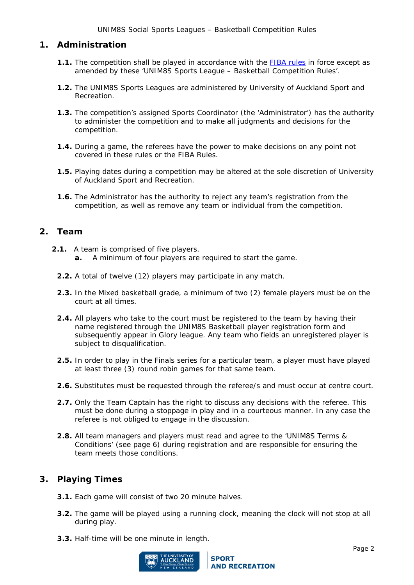# <span id="page-1-0"></span>**1. Administration**

- **1.1.** The competition shall be played in accordance with the [FIBA rules](http://www.fiba.com/documents) in force except as amended by these 'UNIM8S Sports League – Basketball Competition Rules'.
- **1.2.** The UNIM8S Sports Leagues are administered by University of Auckland Sport and Recreation.
- **1.3.** The competition's assigned Sports Coordinator (the 'Administrator') has the authority to administer the competition and to make all judgments and decisions for the competition.
- **1.4.** During a game, the referees have the power to make decisions on any point not covered in these rules or the FIBA Rules.
- **1.5.** Playing dates during a competition may be altered at the sole discretion of University of Auckland Sport and Recreation.
- **1.6.** The Administrator has the authority to reject any team's registration from the competition, as well as remove any team or individual from the competition.

# <span id="page-1-1"></span>**2. Team**

- **2.1.** A team is comprised of five players.
	- **a.** A minimum of four players are required to start the game.
	- **2.2.** A total of twelve (12) players may participate in any match.
	- **2.3.** In the Mixed basketball grade, a minimum of two (2) female players must be on the court at all times.
	- **2.4.** All players who take to the court must be registered to the team by having their name registered through the UNIM8S Basketball player registration form and subsequently appear in Glory league. Any team who fields an unregistered player is subject to disqualification.
	- **2.5.** In order to play in the Finals series for a particular team, a player must have played at least three (3) round robin games for that same team.
	- **2.6.** Substitutes must be requested through the referee/s and must occur at centre court.
	- **2.7.** Only the Team Captain has the right to discuss any decisions with the referee. This must be done during a stoppage in play and in a courteous manner. In any case the referee is not obliged to engage in the discussion.
	- **2.8.** All team managers and players must read and agree to the 'UNIM8S Terms & Conditions' (see page 6) during registration and are responsible for ensuring the team meets those conditions.

# <span id="page-1-2"></span>**3. Playing Times**

- **3.1.** Each game will consist of two 20 minute halves.
- **3.2.** The game will be played using a running clock, meaning the clock will not stop at all during play.
- **3.3.** Half-time will be one minute in length.

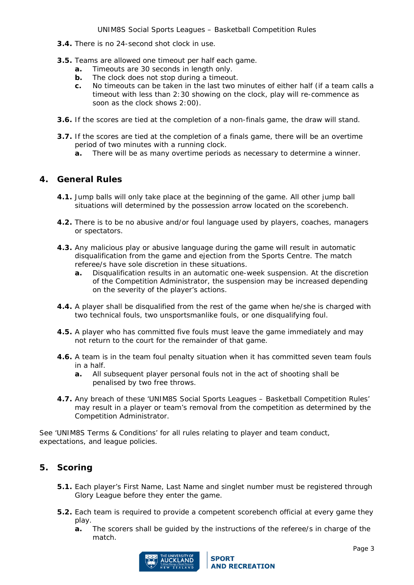- **3.4.** There is no 24-second shot clock in use.
- **3.5.** Teams are allowed one timeout per half each game.
	- **a.** Timeouts are 30 seconds in length only.
	- **b.** The clock does not stop during a timeout.
	- **c.** No timeouts can be taken in the last two minutes of either half (if a team calls a timeout with less than 2:30 showing on the clock, play will re-commence as soon as the clock shows 2:00).
- **3.6.** If the scores are tied at the completion of a non-finals game, the draw will stand.
- **3.7.** If the scores are tied at the completion of a finals game, there will be an overtime period of two minutes with a running clock.
	- **a.** There will be as many overtime periods as necessary to determine a winner.

# <span id="page-2-0"></span>**4. General Rules**

- **4.1.** Jump balls will only take place at the beginning of the game. All other jump ball situations will determined by the possession arrow located on the scorebench.
- **4.2.** There is to be no abusive and/or foul language used by players, coaches, managers or spectators.
- **4.3.** Any malicious play or abusive language during the game will result in automatic disqualification from the game and ejection from the Sports Centre. The match referee/s have sole discretion in these situations.
	- **a.** Disqualification results in an automatic one-week suspension. At the discretion of the Competition Administrator, the suspension may be increased depending on the severity of the player's actions.
- **4.4.** A player shall be disqualified from the rest of the game when he/she is charged with two technical fouls, two unsportsmanlike fouls, or one disqualifying foul.
- **4.5.** A player who has committed five fouls must leave the game immediately and may not return to the court for the remainder of that game.
- **4.6.** A team is in the team foul penalty situation when it has committed seven team fouls in a half.
	- **a.** All subsequent player personal fouls not in the act of shooting shall be penalised by two free throws.
- **4.7.** Any breach of these 'UNIM8S Social Sports Leagues Basketball Competition Rules' may result in a player or team's removal from the competition as determined by the Competition Administrator.

See 'UNIM8S Terms & Conditions' for all rules relating to player and team conduct, expectations, and league policies.

# <span id="page-2-1"></span>**5. Scoring**

- **5.1.** Each player's First Name, Last Name and singlet number must be registered through Glory League before they enter the game.
- **5.2.** Each team is required to provide a competent scorebench official at every game they play.
	- **a.** The scorers shall be guided by the instructions of the referee/s in charge of the match.

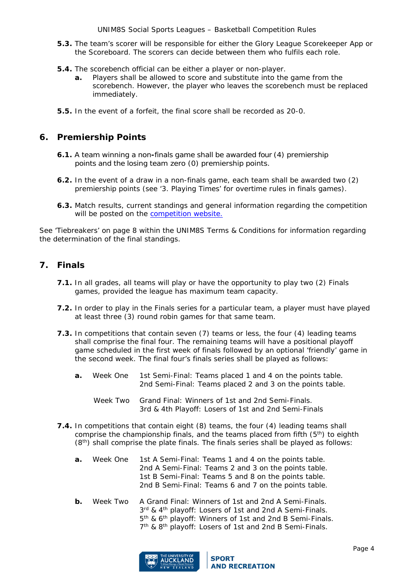UNIM8S Social Sports Leagues – Basketball Competition Rules

- **5.3.** The team's scorer will be responsible for either the Glory League Scorekeeper App or the Scoreboard. The scorers can decide between them who fulfils each role.
- **5.4.** The scorebench official can be either a player or non-player.
	- **a.** Players shall be allowed to score and substitute into the game from the scorebench. However, the player who leaves the scorebench must be replaced immediately.
- **5.5.** In the event of a forfeit, the final score shall be recorded as 20-0.

# <span id="page-3-0"></span>**6. Premiership Points**

- **6.1.** A team winning a non**-**finals game shall be awarded four (4) premiership points and the losing team zero (0) premiership points.
- **6.2.** In the event of a draw in a non-finals game, each team shall be awarded two (2) premiership points (see '3. Playing Times' for overtime rules in finals games).
- **6.3.** Match results, current standings and general information regarding the competition will be posted on the **competition** website.

See 'Tiebreakers' on page 8 within the UNIM8S Terms & Conditions for information regarding the determination of the final standings.

# <span id="page-3-1"></span>**7. Finals**

- **7.1.** In all grades, all teams will play or have the opportunity to play two (2) Finals games, provided the league has maximum team capacity.
- **7.2.** In order to play in the Finals series for a particular team, a player must have played at least three (3) round robin games for that same team.
- **7.3.** In competitions that contain seven (7) teams or less, the four (4) leading teams shall comprise the final four. The remaining teams will have a positional playoff game scheduled in the first week of finals followed by an optional 'friendly' game in the second week. The final four's finals series shall be played as follows:
	- **a.** Week One 1st Semi-Final: Teams placed 1 and 4 on the points table. 2nd Semi-Final: Teams placed 2 and 3 on the points table.
		- Week Two Grand Final: Winners of 1st and 2nd Semi-Finals. 3rd & 4th Playoff: Losers of 1st and 2nd Semi-Finals
- **7.4.** In competitions that contain eight (8) teams, the four (4) leading teams shall comprise the championship finals, and the teams placed from fifth  $(5<sup>th</sup>)$  to eighth  $(8<sup>th</sup>)$  shall comprise the plate finals. The finals series shall be played as follows:
	- **a.** Week One 1st A Semi-Final: Teams 1 and 4 on the points table. 2nd A Semi-Final: Teams 2 and 3 on the points table. 1st B Semi-Final: Teams 5 and 8 on the points table. 2nd B Semi-Final: Teams 6 and 7 on the points table.
	- **b.** Week Two A Grand Final: Winners of 1st and 2nd A Semi-Finals. 3rd & 4<sup>th</sup> playoff: Losers of 1st and 2nd A Semi-Finals. 5th & 6th playoff: Winners of 1st and 2nd B Semi-Finals. 7<sup>th</sup> & 8<sup>th</sup> playoff: Losers of 1st and 2nd B Semi-Finals.

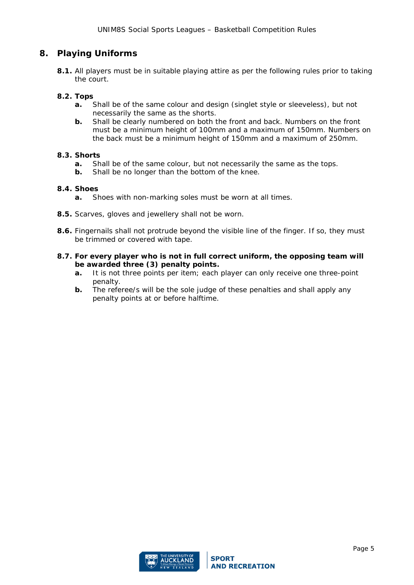# <span id="page-4-0"></span>**8. Playing Uniforms**

**8.1.** All players must be in suitable playing attire as per the following rules prior to taking the court.

### **8.2. Tops**

- **a.** Shall be of the same colour and design (singlet style or sleeveless), but not necessarily the same as the shorts.
- **b.** Shall be clearly numbered on both the front and back. Numbers on the front must be a minimum height of 100mm and a maximum of 150mm. Numbers on the back must be a minimum height of 150mm and a maximum of 250mm.

### **8.3. Shorts**

- **a.** Shall be of the same colour, but not necessarily the same as the tops.
- **b.** Shall be no longer than the bottom of the knee.

### **8.4. Shoes**

- **a.** Shoes with non-marking soles must be worn at all times.
- **8.5.** Scarves, gloves and jewellery shall not be worn.
- **8.6.** Fingernails shall not protrude beyond the visible line of the finger. If so, they must be trimmed or covered with tape.
- **8.7. For every player who is not in full correct uniform, the opposing team will be awarded three (3) penalty points.** 
	- **a.** It is not three points per item; each player can only receive one three-point penalty.
	- **b.** The referee/s will be the sole judge of these penalties and shall apply any penalty points at or before halftime.

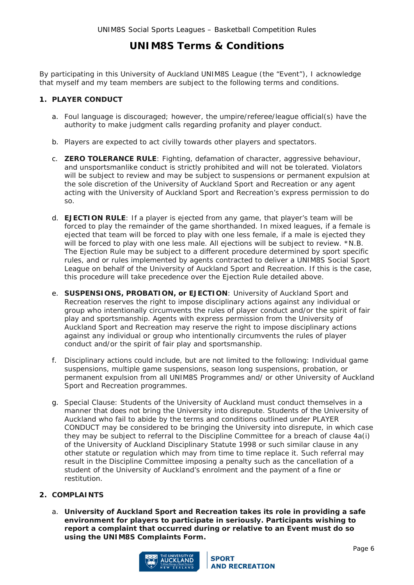# **UNIM8S Terms & Conditions**

By participating in this University of Auckland UNIM8S League (the "Event"), I acknowledge that myself and my team members are subject to the following terms and conditions.

### <span id="page-5-0"></span>**1. PLAYER CONDUCT**

- a. Foul language is discouraged; however, the umpire/referee/league official(s) have the authority to make judgment calls regarding profanity and player conduct.
- b. Players are expected to act civilly towards other players and spectators.
- c. **ZERO TOLERANCE RULE**: Fighting, defamation of character, aggressive behaviour, and unsportsmanlike conduct is strictly prohibited and will not be tolerated. Violators will be subject to review and may be subject to suspensions or permanent expulsion at the sole discretion of the University of Auckland Sport and Recreation or any agent acting with the University of Auckland Sport and Recreation's express permission to do so.
- d. **EJECTION RULE**: If a player is ejected from any game, that player's team will be forced to play the remainder of the game shorthanded. In mixed leagues, if a female is ejected that team will be forced to play with one less female, if a male is ejected they will be forced to play with one less male. All ejections will be subject to review. \*N.B. The Ejection Rule may be subject to a different procedure determined by sport specific rules, and or rules implemented by agents contracted to deliver a UNIM8S Social Sport League on behalf of the University of Auckland Sport and Recreation. If this is the case, this procedure will take precedence over the Ejection Rule detailed above.
- e. **SUSPENSIONS, PROBATION, or EJECTION**: University of Auckland Sport and Recreation reserves the right to impose disciplinary actions against any individual or group who intentionally circumvents the rules of player conduct and/or the spirit of fair play and sportsmanship. Agents with express permission from the University of Auckland Sport and Recreation may reserve the right to impose disciplinary actions against any individual or group who intentionally circumvents the rules of player conduct and/or the spirit of fair play and sportsmanship.
- f. Disciplinary actions could include, but are not limited to the following: Individual game suspensions, multiple game suspensions, season long suspensions, probation, or permanent expulsion from all UNIM8S Programmes and/ or other University of Auckland Sport and Recreation programmes.
- g. Special Clause: Students of the University of Auckland must conduct themselves in a manner that does not bring the University into disrepute. Students of the University of Auckland who fail to abide by the terms and conditions outlined under PLAYER CONDUCT may be considered to be bringing the University into disrepute, in which case they may be subject to referral to the Discipline Committee for a breach of clause 4a(i) of the *University of Auckland Disciplinary Statute 1998* or such similar clause in any other statute or regulation which may from time to time replace it. Such referral may result in the Discipline Committee imposing a penalty such as the cancellation of a student of the University of Auckland's enrolment and the payment of a fine or restitution.

### <span id="page-5-1"></span>**2. COMPLAINTS**

a. **University of Auckland Sport and Recreation takes its role in providing a safe environment for players to participate in seriously. Participants wishing to report a complaint that occurred during or relative to an Event must do so using the UNIM8S Complaints Form.** 

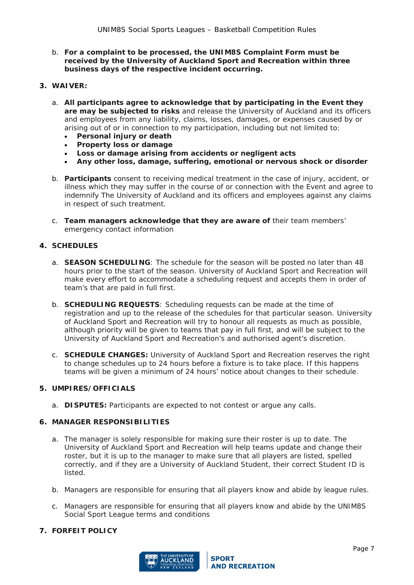- b. **For a complaint to be processed, the UNIM8S Complaint Form must be received by the University of Auckland Sport and Recreation within three business days of the respective incident occurring.**
- <span id="page-6-0"></span>**3. WAIVER:** 
	- a. **All participants agree to acknowledge that by participating in the Event they are may be subjected to risks** and release the University of Auckland and its officers and employees from any liability, claims, losses, damages, or expenses caused by or arising out of or in connection to my participation, including but not limited to:
		- **Personal injury or death**
		- **Property loss or damage**
		- **Loss or damage arising from accidents or negligent acts**
		- **Any other loss, damage, suffering, emotional or nervous shock or disorder**
	- b. **Participants** consent to receiving medical treatment in the case of injury, accident, or illness which they may suffer in the course of or connection with the Event and agree to indemnify The University of Auckland and its officers and employees against any claims in respect of such treatment.
	- c. **Team managers acknowledge that they are aware of** their team members' emergency contact information

### <span id="page-6-1"></span>**4. SCHEDULES**

- a. **SEASON SCHEDULING**: The schedule for the season will be posted no later than 48 hours prior to the start of the season. University of Auckland Sport and Recreation will make every effort to accommodate a scheduling request and accepts them in order of team's that are paid in full first.
- b. **SCHEDULING REQUESTS**: Scheduling requests can be made at the time of registration and up to the release of the schedules for that particular season. University of Auckland Sport and Recreation will try to honour all requests as much as possible, although priority will be given to teams that pay in full first, and will be subject to the University of Auckland Sport and Recreation's and authorised agent's discretion.
- c. **SCHEDULE CHANGES:** University of Auckland Sport and Recreation reserves the right to change schedules up to 24 hours before a fixture is to take place. If this happens teams will be given a minimum of 24 hours' notice about changes to their schedule.

### <span id="page-6-2"></span>**5. UMPIRES/OFFICIALS**

a. **DISPUTES:** Participants are expected to not contest or argue any calls.

### <span id="page-6-3"></span>**6. MANAGER RESPONSIBILITIES**

- a. The manager is solely responsible for making sure their roster is up to date. The University of Auckland Sport and Recreation will help teams update and change their roster, but it is up to the manager to make sure that all players are listed, spelled correctly, and if they are a University of Auckland Student, their correct Student ID is listed.
- b. Managers are responsible for ensuring that all players know and abide by league rules.
- c. Managers are responsible for ensuring that all players know and abide by the UNIM8S Social Sport League terms and conditions

### <span id="page-6-4"></span>**7. FORFEIT POLICY**

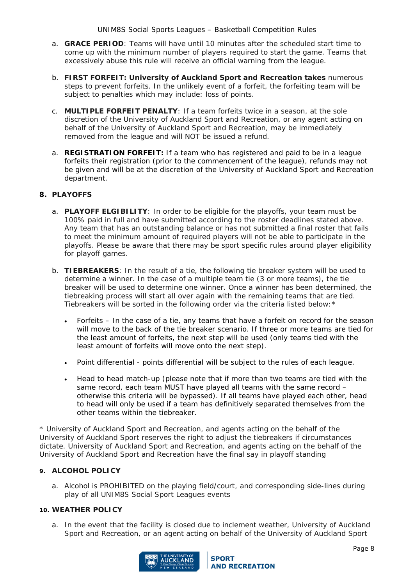- a. **GRACE PERIOD**: Teams will have until 10 minutes after the scheduled start time to come up with the minimum number of players required to start the game. Teams that excessively abuse this rule will receive an official warning from the league.
- b. **FIRST FORFEIT: University of Auckland Sport and Recreation takes** numerous steps to prevent forfeits. In the unlikely event of a forfeit, the forfeiting team will be subject to penalties which may include: loss of points.
- c. **MULTIPLE FORFEIT PENALTY**: If a team forfeits twice in a season, at the sole discretion of the University of Auckland Sport and Recreation, or any agent acting on behalf of the University of Auckland Sport and Recreation, may be immediately removed from the league and will NOT be issued a refund.
- a. **REGISTRATION FORFEIT:** If a team who has registered and paid to be in a league forfeits their registration (prior to the commencement of the league), refunds may not be given and will be at the discretion of the University of Auckland Sport and Recreation department.

## <span id="page-7-0"></span>**8. PLAYOFFS**

- a. **PLAYOFF ELGIBILITY**: In order to be eligible for the playoffs, your team must be 100% paid in full and have submitted according to the roster deadlines stated above. Any team that has an outstanding balance or has not submitted a final roster that fails to meet the minimum amount of required players will not be able to participate in the playoffs. Please be aware that there may be sport specific rules around player eligibility for playoff games.
- b. **TIEBREAKERS**: In the result of a tie, the following tie breaker system will be used to determine a winner. In the case of a multiple team tie (3 or more teams), the tie breaker will be used to determine one winner. Once a winner has been determined, the tiebreaking process will start all over again with the remaining teams that are tied. Tiebreakers will be sorted in the following order via the criteria listed below:\*
	- Forfeits In the case of a tie, any teams that have a forfeit on record for the season will move to the back of the tie breaker scenario. If three or more teams are tied for the least amount of forfeits, the next step will be used (only teams tied with the least amount of forfeits will move onto the next step).
	- Point differential points differential will be subject to the rules of each league.
	- Head to head match-up (please note that if more than two teams are tied with the same record, each team MUST have played all teams with the same record – otherwise this criteria will be bypassed). If all teams have played each other, head to head will only be used if a team has definitively separated themselves from the other teams within the tiebreaker.

\* University of Auckland Sport and Recreation, and agents acting on the behalf of the University of Auckland Sport reserves the right to adjust the tiebreakers if circumstances dictate. University of Auckland Sport and Recreation, and agents acting on the behalf of the University of Auckland Sport and Recreation have the final say in playoff standing

### <span id="page-7-1"></span>**9. ALCOHOL POLICY**

a. Alcohol is PROHIBITED on the playing field/court, and corresponding side-lines during play of all UNIM8S Social Sport Leagues events

### <span id="page-7-2"></span>**10. WEATHER POLICY**

a. In the event that the facility is closed due to inclement weather, University of Auckland Sport and Recreation, or an agent acting on behalf of the University of Auckland Sport

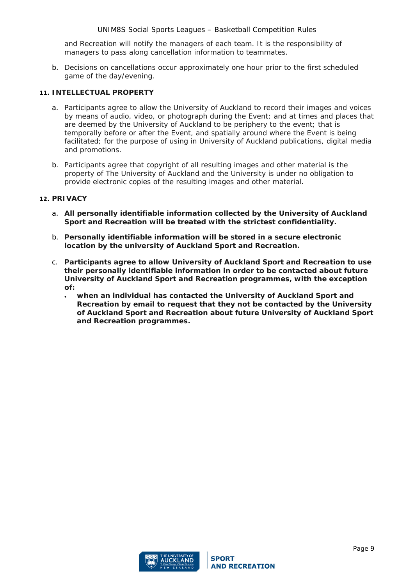and Recreation will notify the managers of each team. It is the responsibility of managers to pass along cancellation information to teammates.

b. Decisions on cancellations occur approximately one hour prior to the first scheduled game of the day/evening.

### <span id="page-8-0"></span>**11. INTELLECTUAL PROPERTY**

- a. Participants agree to allow the University of Auckland to record their images and voices by means of audio, video, or photograph during the Event; and at times and places that are deemed by the University of Auckland to be periphery to the event; that is temporally before or after the Event, and spatially around where the Event is being facilitated; for the purpose of using in University of Auckland publications, digital media and promotions.
- b. Participants agree that copyright of all resulting images and other material is the property of The University of Auckland and the University is under no obligation to provide electronic copies of the resulting images and other material.

### <span id="page-8-1"></span>**12. PRIVACY**

- a. **All personally identifiable information collected by the University of Auckland Sport and Recreation will be treated with the strictest confidentiality.**
- b. **Personally identifiable information will be stored in a secure electronic location by the university of Auckland Sport and Recreation.**
- c. **Participants agree to allow University of Auckland Sport and Recreation to use their personally identifiable information in order to be contacted about future University of Auckland Sport and Recreation programmes, with the exception of:** 
	- **when an individual has contacted the University of Auckland Sport and Recreation by email to request that they not be contacted by the University of Auckland Sport and Recreation about future University of Auckland Sport and Recreation programmes.**